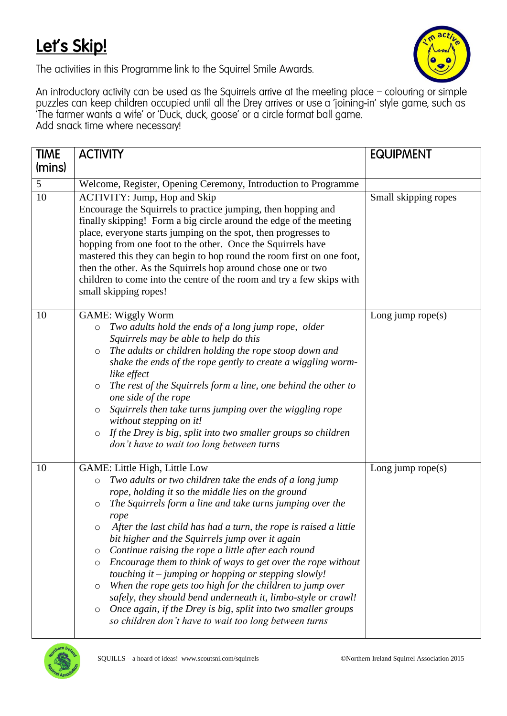## Let's Skip!



The activities in this Programme link to the Squirrel Smile Awards.

An introductory activity can be used as the Squirrels arrive at the meeting place – colouring or simple puzzles can keep children occupied until all the Drey arrives or use a 'joining-in' style game, such as 'The farmer wa Add snack time where necessary!

| <b>TIME</b> | <b>ACTIVITY</b>                                                                                                                                                                                                                                                                                                                                                                                                                                                                                                                                                                                                                                                                                                                                                                                                                                        | <b>EQUIPMENT</b>     |
|-------------|--------------------------------------------------------------------------------------------------------------------------------------------------------------------------------------------------------------------------------------------------------------------------------------------------------------------------------------------------------------------------------------------------------------------------------------------------------------------------------------------------------------------------------------------------------------------------------------------------------------------------------------------------------------------------------------------------------------------------------------------------------------------------------------------------------------------------------------------------------|----------------------|
| (mins)      |                                                                                                                                                                                                                                                                                                                                                                                                                                                                                                                                                                                                                                                                                                                                                                                                                                                        |                      |
| 5           | Welcome, Register, Opening Ceremony, Introduction to Programme                                                                                                                                                                                                                                                                                                                                                                                                                                                                                                                                                                                                                                                                                                                                                                                         |                      |
| 10          | <b>ACTIVITY: Jump, Hop and Skip</b><br>Encourage the Squirrels to practice jumping, then hopping and<br>finally skipping! Form a big circle around the edge of the meeting<br>place, everyone starts jumping on the spot, then progresses to<br>hopping from one foot to the other. Once the Squirrels have<br>mastered this they can begin to hop round the room first on one foot,<br>then the other. As the Squirrels hop around chose one or two<br>children to come into the centre of the room and try a few skips with<br>small skipping ropes!                                                                                                                                                                                                                                                                                                 | Small skipping ropes |
| 10          | <b>GAME: Wiggly Worm</b><br>Two adults hold the ends of a long jump rope, older<br>$\circ$<br>Squirrels may be able to help do this<br>The adults or children holding the rope stoop down and<br>$\circ$<br>shake the ends of the rope gently to create a wiggling worm-<br>like effect<br>The rest of the Squirrels form a line, one behind the other to<br>$\circ$<br>one side of the rope<br>Squirrels then take turns jumping over the wiggling rope<br>$\circ$<br>without stepping on it!<br>If the Drey is big, split into two smaller groups so children<br>$\circ$<br>don't have to wait too long between turns                                                                                                                                                                                                                                | Long jump rope $(s)$ |
| 10          | GAME: Little High, Little Low<br>Two adults or two children take the ends of a long jump<br>$\circ$<br>rope, holding it so the middle lies on the ground<br>The Squirrels form a line and take turns jumping over the<br>$\circ$<br>rope<br>$\circ$ After the last child has had a turn, the rope is raised a little<br>bit higher and the Squirrels jump over it again<br>Continue raising the rope a little after each round<br>O<br>Encourage them to think of ways to get over the rope without<br>$\circ$<br>touching it $-$ jumping or hopping or stepping slowly!<br>When the rope gets too high for the children to jump over<br>$\circ$<br>safely, they should bend underneath it, limbo-style or crawl!<br>Once again, if the Drey is big, split into two smaller groups<br>$\circ$<br>so children don't have to wait too long between turns | Long jump rope $(s)$ |